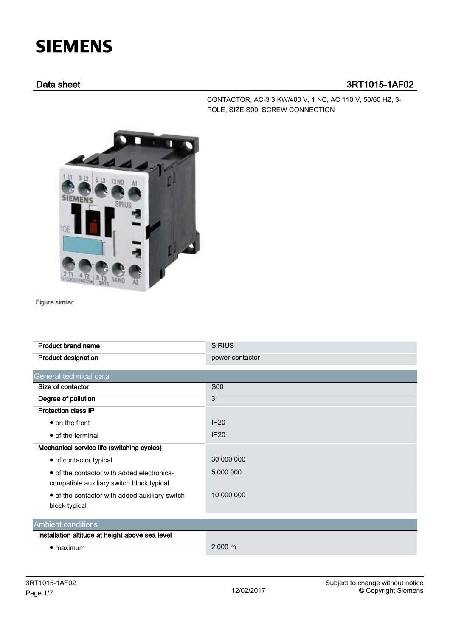## **SIEMENS**

## Data sheet 3RT1015-1AF02

CONTACTOR, AC-3 3 KW/400 V, 1 NC, AC 110 V, 50/60 HZ, 3- POLE, SIZE S00, SCREW CONNECTION



Figure similar

| <b>Product brand name</b>                       | <b>SIRIUS</b>   |  |  |
|-------------------------------------------------|-----------------|--|--|
| <b>Product designation</b>                      | power contactor |  |  |
|                                                 |                 |  |  |
| General technical data                          |                 |  |  |
| Size of contactor                               | <b>S00</b>      |  |  |
| Degree of pollution                             | 3               |  |  |
| <b>Protection class IP</b>                      |                 |  |  |
| $\bullet$ on the front                          | <b>IP20</b>     |  |  |
| • of the terminal                               | IP20            |  |  |
| Mechanical service life (switching cycles)      |                 |  |  |
| • of contactor typical                          | 30 000 000      |  |  |
| • of the contactor with added electronics-      | 5 000 000       |  |  |
| compatible auxiliary switch block typical       |                 |  |  |
| • of the contactor with added auxiliary switch  | 10 000 000      |  |  |
| block typical                                   |                 |  |  |
|                                                 |                 |  |  |
| <b>Ambient conditions</b>                       |                 |  |  |
| Installation altitude at height above sea level |                 |  |  |
| $\bullet$ maximum                               | 2 000 m         |  |  |
|                                                 |                 |  |  |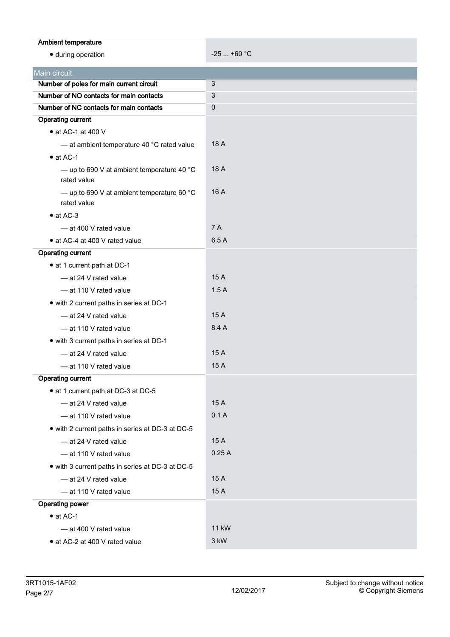| Ambient temperature                                                                 |             |
|-------------------------------------------------------------------------------------|-------------|
| · during operation                                                                  | $-25+60$ °C |
|                                                                                     |             |
| Main circuit                                                                        |             |
| Number of poles for main current circuit<br>Number of NO contacts for main contacts | 3           |
| Number of NC contacts for main contacts                                             | 3           |
| <b>Operating current</b>                                                            | 0           |
| $\bullet$ at AC-1 at 400 V                                                          |             |
| - at ambient temperature 40 °C rated value                                          | 18 A        |
| $\bullet$ at AC-1                                                                   |             |
| - up to 690 V at ambient temperature 40 $^{\circ}$ C<br>rated value                 | 18 A        |
| - up to 690 V at ambient temperature 60 $^{\circ}$ C<br>rated value                 | 16 A        |
| $\bullet$ at AC-3                                                                   |             |
| - at 400 V rated value                                                              | 7 A         |
| • at AC-4 at 400 V rated value                                                      | 6.5 A       |
| <b>Operating current</b>                                                            |             |
| • at 1 current path at DC-1                                                         |             |
| - at 24 V rated value                                                               | 15 A        |
| - at 110 V rated value                                                              | 1.5A        |
| • with 2 current paths in series at DC-1                                            |             |
| -at 24 V rated value                                                                | 15 A        |
| - at 110 V rated value                                                              | 8.4 A       |
| • with 3 current paths in series at DC-1                                            |             |
| - at 24 V rated value                                                               | 15 A        |
| - at 110 V rated value                                                              | 15 A        |
| <b>Operating current</b>                                                            |             |
| • at 1 current path at DC-3 at DC-5                                                 |             |
| - at 24 V rated value                                                               | 15 A        |
| - at 110 V rated value                                                              | 0.1A        |
| • with 2 current paths in series at DC-3 at DC-5                                    |             |
| - at 24 V rated value                                                               | 15 A        |
| - at 110 V rated value                                                              | 0.25A       |
| • with 3 current paths in series at DC-3 at DC-5                                    |             |
| - at 24 V rated value                                                               | 15 A        |
| - at 110 V rated value                                                              | 15 A        |
| <b>Operating power</b>                                                              |             |
| $\bullet$ at AC-1                                                                   |             |
| - at 400 V rated value                                                              | 11 kW       |
| • at AC-2 at 400 V rated value                                                      | 3 kW        |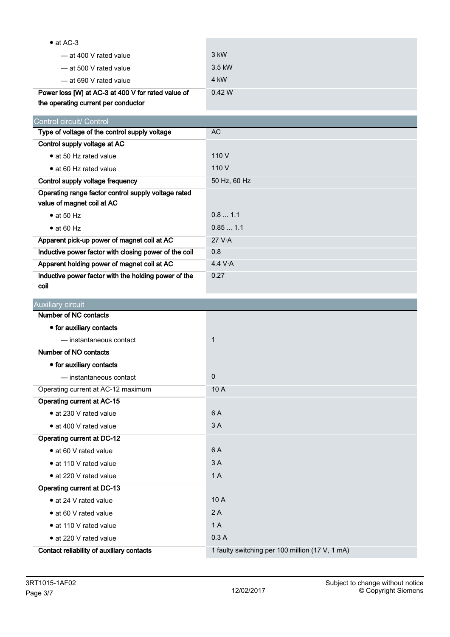| $\bullet$ at AC-3                                     |              |
|-------------------------------------------------------|--------------|
| — at 400 V rated value                                | 3 kW         |
| - at 500 V rated value                                | 3.5 kW       |
| -at 690 V rated value                                 | 4 kW         |
| Power loss [W] at AC-3 at 400 V for rated value of    | 0.42 W       |
| the operating current per conductor                   |              |
| Control circuit/ Control                              |              |
| Type of voltage of the control supply voltage         | <b>AC</b>    |
| Control supply voltage at AC                          |              |
| • at 50 Hz rated value                                | 110 V        |
| • at 60 Hz rated value                                | 110 V        |
| Control supply voltage frequency                      | 50 Hz, 60 Hz |
| Operating range factor control supply voltage rated   |              |
| value of magnet coil at AC                            |              |
| $\bullet$ at 50 Hz                                    | 0.8 1.1      |
| $\bullet$ at 60 Hz                                    | 0.851.1      |
| Apparent pick-up power of magnet coil at AC           | 27 V.A       |
| Inductive power factor with closing power of the coil | 0.8          |
| Apparent holding power of magnet coil at AC           | 4.4 V·A      |
| Inductive power factor with the holding power of the  | 0.27         |
| coil                                                  |              |
|                                                       |              |
| <b>Auxiliary circuit</b>                              |              |
| Number of NC contacts                                 |              |
| • for auxiliary contacts                              |              |
| - instantaneous contact                               | $\mathbf{1}$ |
| Number of NO contacts                                 |              |
| • for auxiliary contacts                              |              |
| - instantaneous contact                               | 0            |
| Operating current at AC-12 maximum                    | 10 A         |
| <b>Operating current at AC-15</b>                     |              |
| · at 230 V rated value                                | 6 A          |
| • at 400 V rated value                                | 3A           |
| Operating current at DC-12                            |              |
| · at 60 V rated value                                 | 6 A          |
| • at 110 V rated value                                | 3A           |
| · at 220 V rated value                                | 1A           |
| <b>Operating current at DC-13</b>                     |              |
| • at 24 V rated value                                 | 10 A         |
| • at 60 V rated value                                 | 2A           |
| · at 110 V rated value                                | 1A           |
| • at 220 V rated value                                | 0.3A         |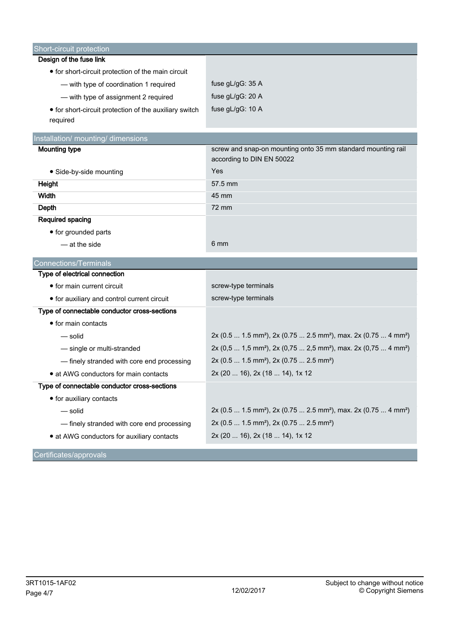| Short-circuit protection                               |                                                                                                     |
|--------------------------------------------------------|-----------------------------------------------------------------------------------------------------|
| Design of the fuse link                                |                                                                                                     |
| • for short-circuit protection of the main circuit     |                                                                                                     |
| - with type of coordination 1 required                 | fuse $gL/gG: 35 A$                                                                                  |
| - with type of assignment 2 required                   | fuse gL/gG: 20 A                                                                                    |
| • for short-circuit protection of the auxiliary switch | fuse gL/gG: 10 A                                                                                    |
| required                                               |                                                                                                     |
| Installation/ mounting/ dimensions                     |                                                                                                     |
| <b>Mounting type</b>                                   | screw and snap-on mounting onto 35 mm standard mounting rail                                        |
|                                                        | according to DIN EN 50022                                                                           |
| • Side-by-side mounting                                | Yes                                                                                                 |
| <b>Height</b>                                          | 57.5 mm                                                                                             |
| Width                                                  | 45 mm                                                                                               |
| <b>Depth</b>                                           | 72 mm                                                                                               |
| Required spacing                                       |                                                                                                     |
| • for grounded parts                                   |                                                                                                     |
| - at the side                                          | 6 mm                                                                                                |
| <b>Connections/Terminals</b>                           |                                                                                                     |
| Type of electrical connection                          |                                                                                                     |
| • for main current circuit                             | screw-type terminals                                                                                |
| • for auxiliary and control current circuit            | screw-type terminals                                                                                |
| Type of connectable conductor cross-sections           |                                                                                                     |
| • for main contacts                                    |                                                                                                     |
| — solid                                                | 2x (0.5  1.5 mm <sup>2</sup> ), 2x (0.75  2.5 mm <sup>2</sup> ), max. 2x (0.75  4 mm <sup>2</sup> ) |
| - single or multi-stranded                             | 2x (0,5  1,5 mm <sup>2</sup> ), 2x (0,75  2,5 mm <sup>2</sup> ), max. 2x (0,75  4 mm <sup>2</sup> ) |
| - finely stranded with core end processing             | 2x (0.5  1.5 mm <sup>2</sup> ), 2x (0.75  2.5 mm <sup>2</sup> )                                     |
| • at AWG conductors for main contacts                  | 2x (20  16), 2x (18  14), 1x 12                                                                     |
| Type of connectable conductor cross-sections           |                                                                                                     |
| • for auxiliary contacts                               |                                                                                                     |
| — solid                                                | 2x (0.5  1.5 mm <sup>2</sup> ), 2x (0.75  2.5 mm <sup>2</sup> ), max. 2x (0.75  4 mm <sup>2</sup> ) |
| - finely stranded with core end processing             | 2x (0.5  1.5 mm <sup>2</sup> ), 2x (0.75  2.5 mm <sup>2</sup> )                                     |
| • at AWG conductors for auxiliary contacts             | 2x (20  16), 2x (18  14), 1x 12                                                                     |
| Certificates/approvals                                 |                                                                                                     |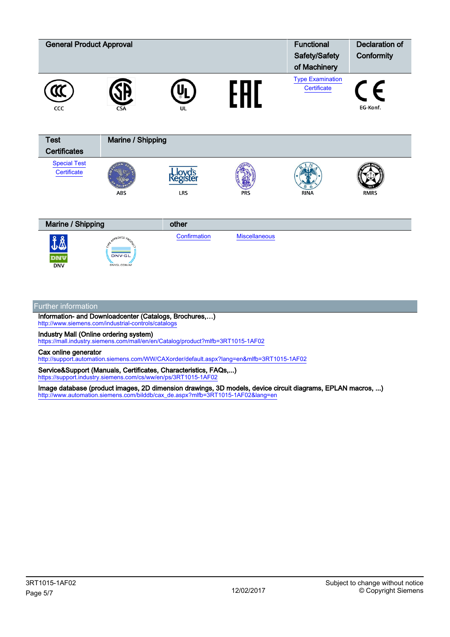| <b>General Product Approval</b>    |                                                  |                     |                      | <b>Functional</b><br>Safety/Safety<br>of Machinery | <b>Declaration of</b><br>Conformity |
|------------------------------------|--------------------------------------------------|---------------------|----------------------|----------------------------------------------------|-------------------------------------|
| CCC                                |                                                  | UL                  | Ш                    | <b>Type Examination</b><br>Certificate             | E.<br>EG-Konf.                      |
| <b>Test</b><br><b>Certificates</b> | Marine / Shipping                                |                     |                      |                                                    |                                     |
| <b>Special Test</b><br>Certificate | ABS                                              | ístei<br><b>LRS</b> | <b>PRS</b>           | <b>RINA</b>                                        | <b>RMRS</b>                         |
| Marine / Shipping                  |                                                  | other               |                      |                                                    |                                     |
| dnv<br><b>DNV</b>                  | REAPPROVED ARON<br><b>DNV·GL</b><br>DNVGL.COM/AF | Confirmation        | <b>Miscellaneous</b> |                                                    |                                     |

## Further information

Information- and Downloadcenter (Catalogs, Brochures,…) <http://www.siemens.com/industrial-controls/catalogs>

Industry Mall (Online ordering system)

<https://mall.industry.siemens.com/mall/en/en/Catalog/product?mlfb=3RT1015-1AF02>

Cax online generator

<http://support.automation.siemens.com/WW/CAXorder/default.aspx?lang=en&mlfb=3RT1015-1AF02>

Service&Support (Manuals, Certificates, Characteristics, FAQs,...) <https://support.industry.siemens.com/cs/ww/en/ps/3RT1015-1AF02>

Image database (product images, 2D dimension drawings, 3D models, device circuit diagrams, EPLAN macros, ...) [http://www.automation.siemens.com/bilddb/cax\\_de.aspx?mlfb=3RT1015-1AF02&lang=en](http://www.automation.siemens.com/bilddb/cax_de.aspx?mlfb=3RT1015-1AF02&lang=en)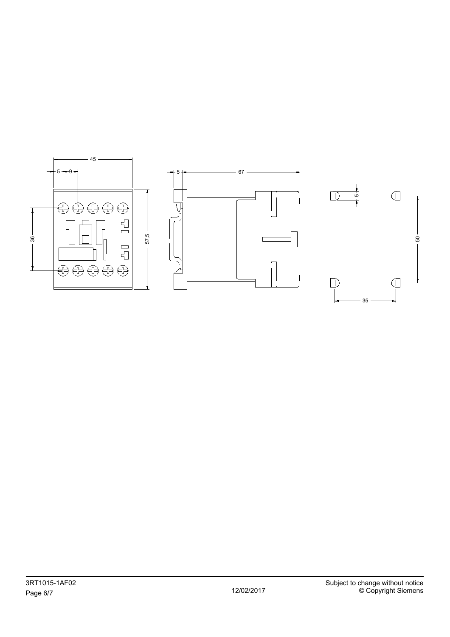